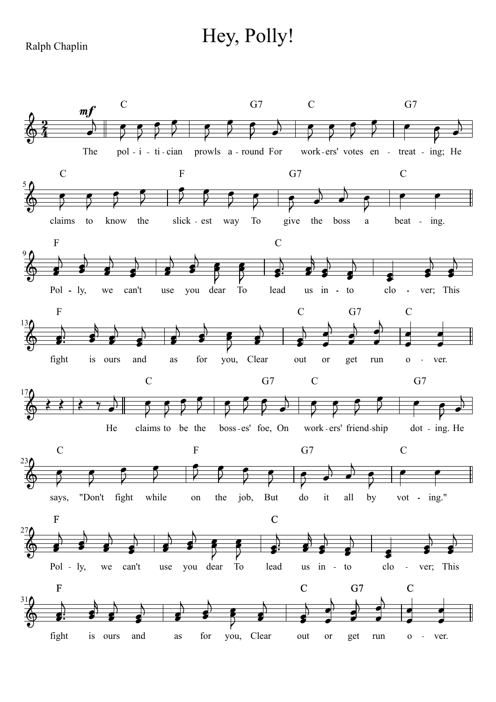#### Hey, Polly!

Ralph Chaplin

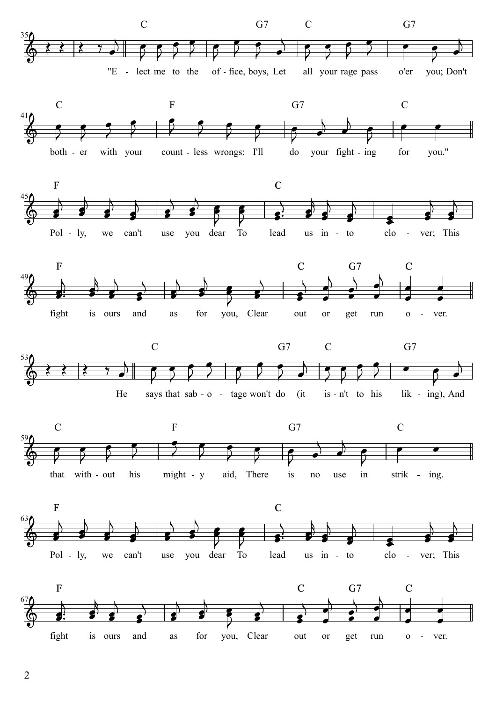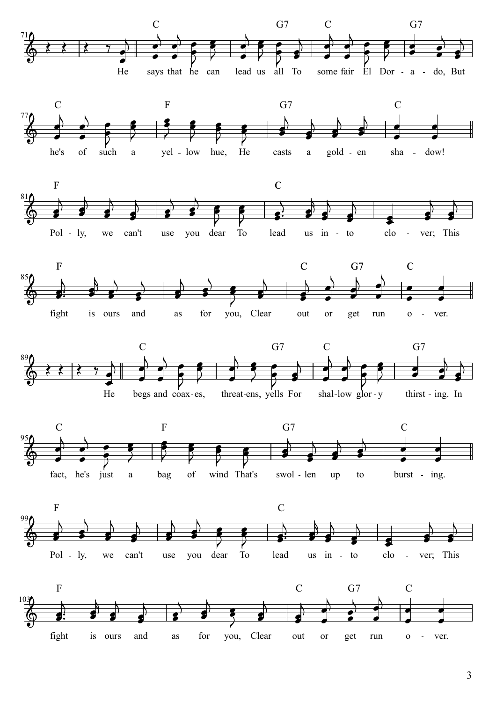

3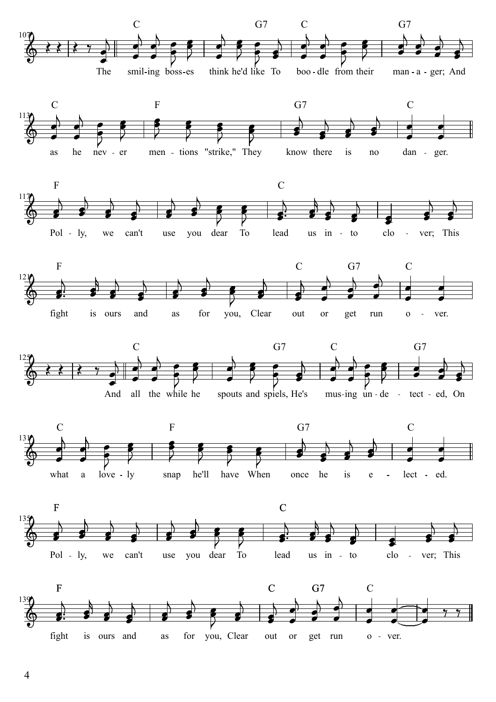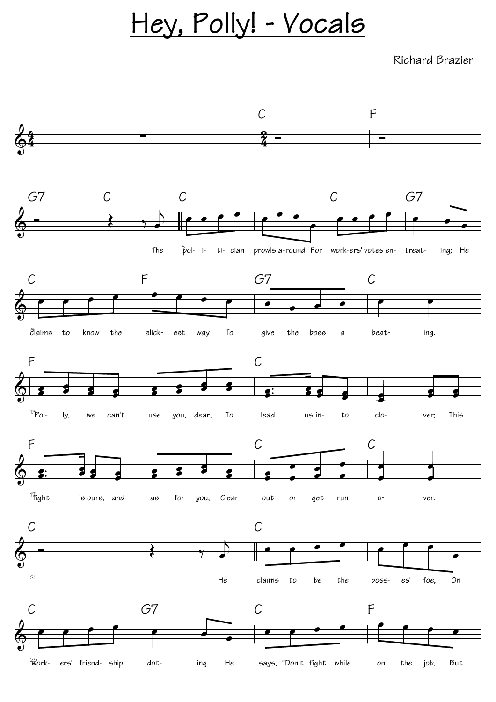#### Hey, Polly! - Vocals

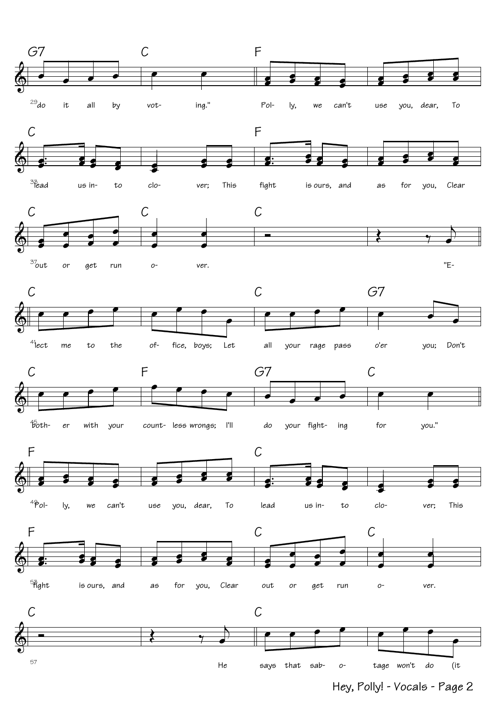

Hey, Polly! - Vocals - Page 2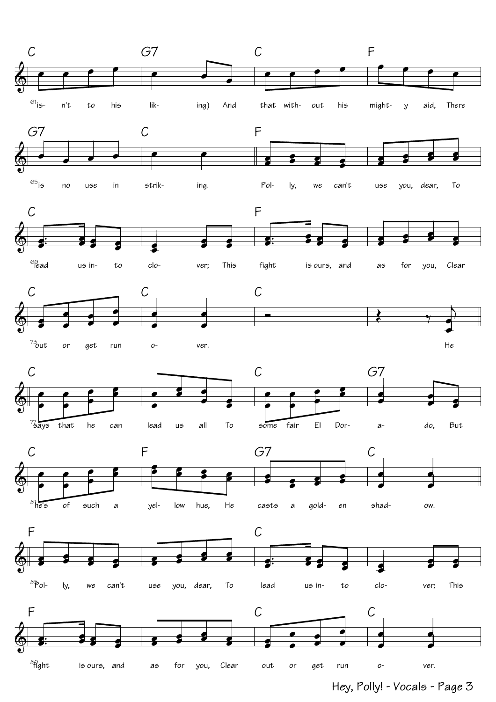

Hey, Polly! - Vocals - Page 3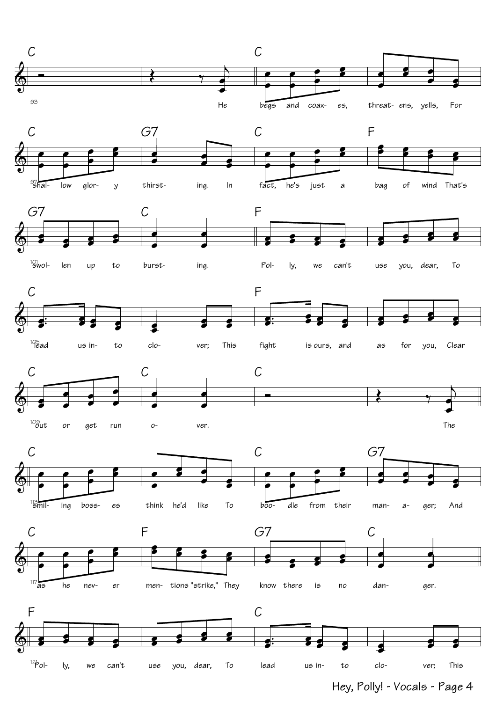

Hey, Polly! - Vocals - Page 4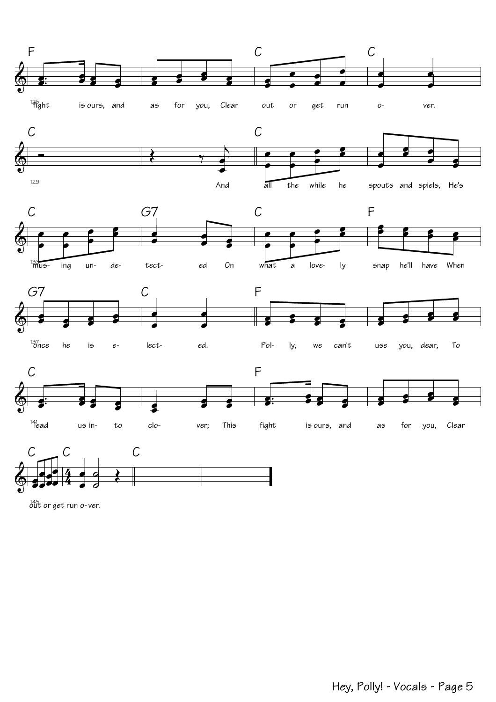

 $\frac{1}{100}$  or get run o-ver.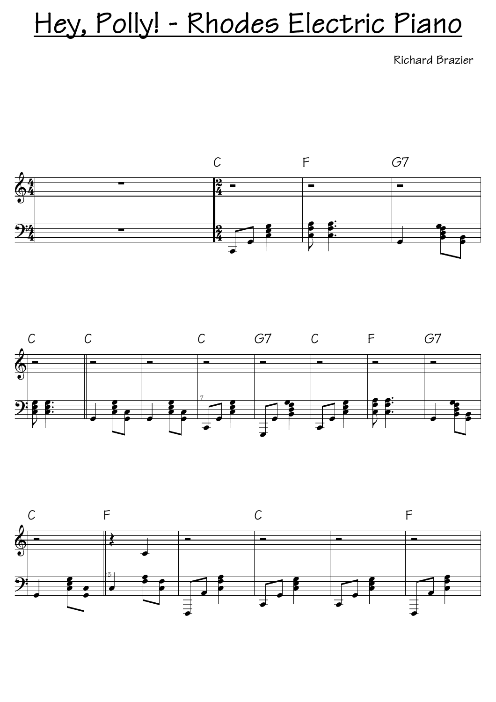# Hey, Polly! - Rhodes Electric Piano





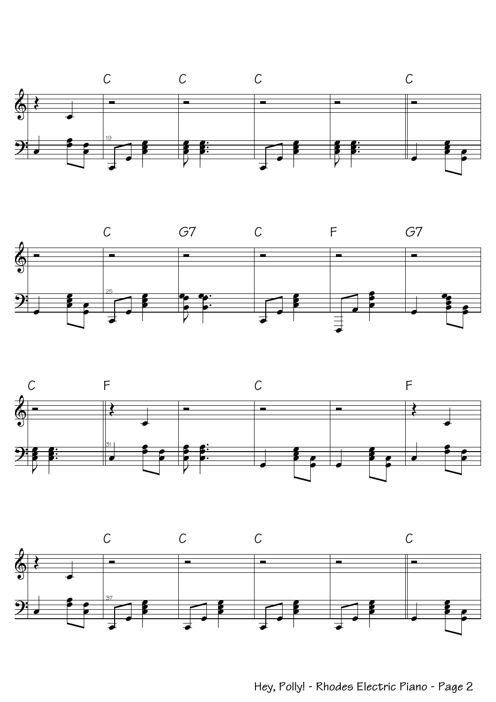







Hey, Polly! - Rhodes Electric Piano - Page 2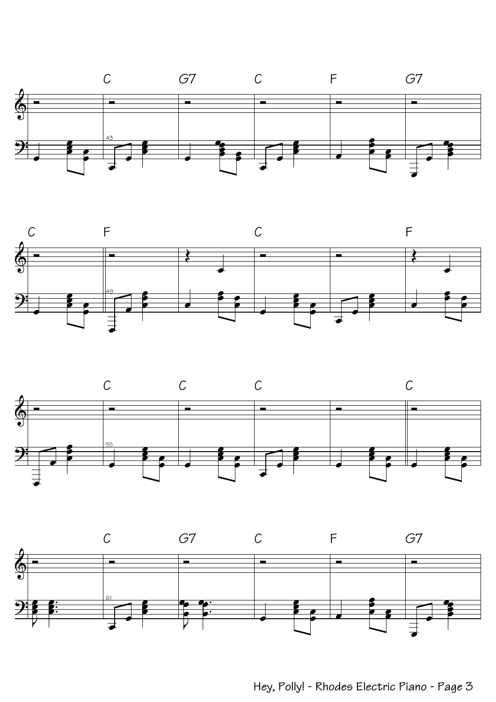







Hey, Polly! - Rhodes Electric Piano - Page 3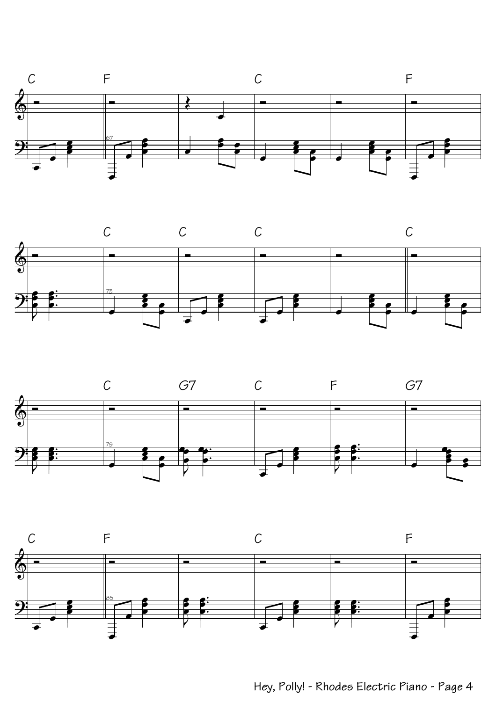







Hey, Polly! - Rhodes Electric Piano - Page 4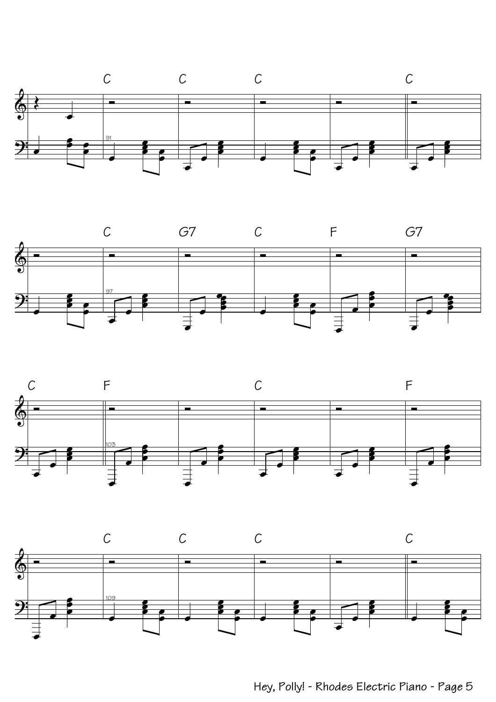







Hey, Polly! - Rhodes Electric Piano - Page 5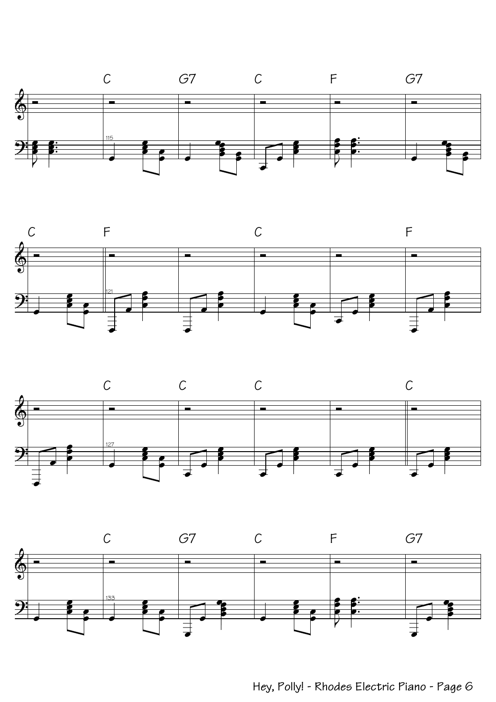







Hey, Polly! - Rhodes Electric Piano - Page 6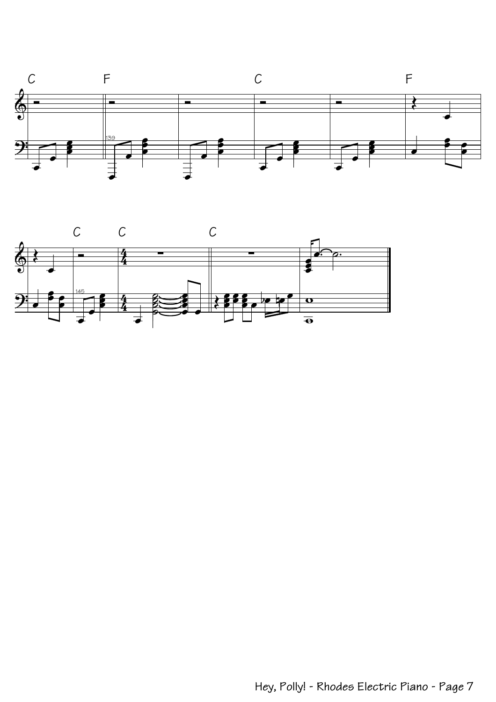

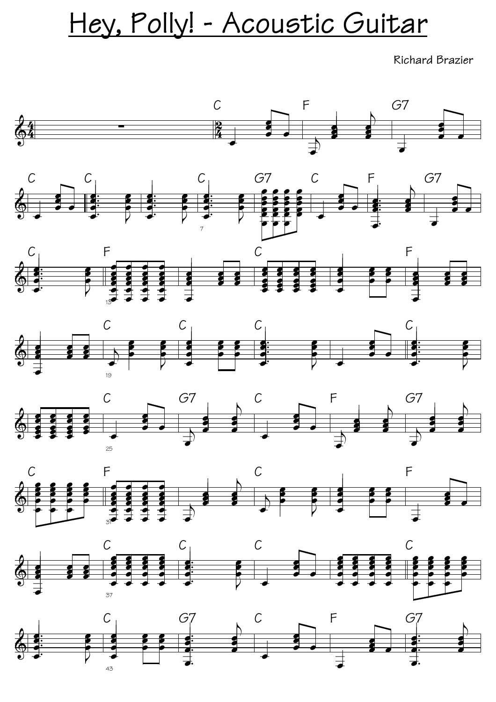# Hey, Polly! - Acoustic Guitar















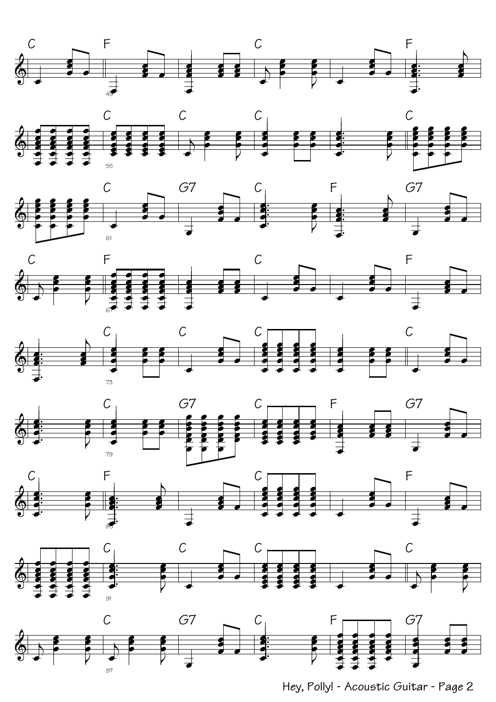

















Hey, Polly! - Acoustic Guitar - Page 2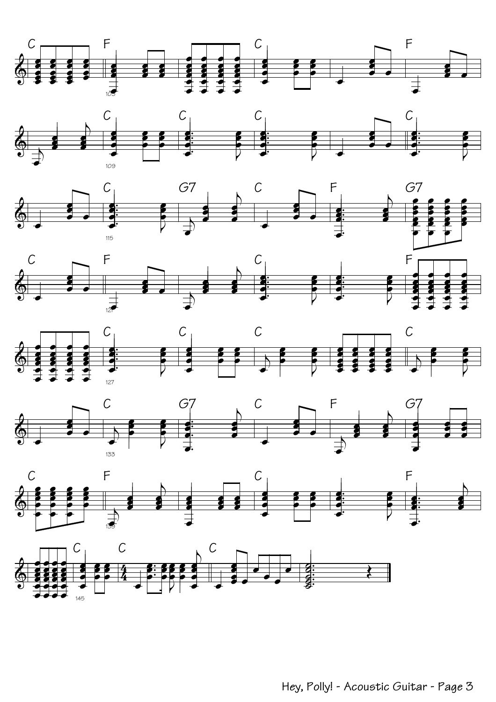













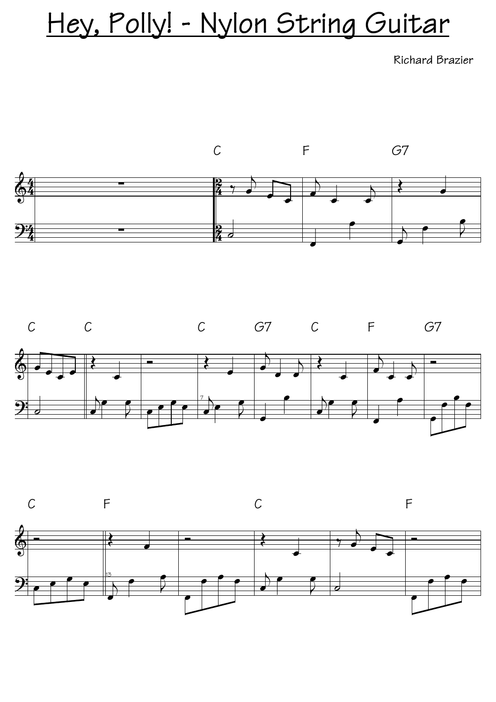## Hey, Polly! - Nylon String Guitar

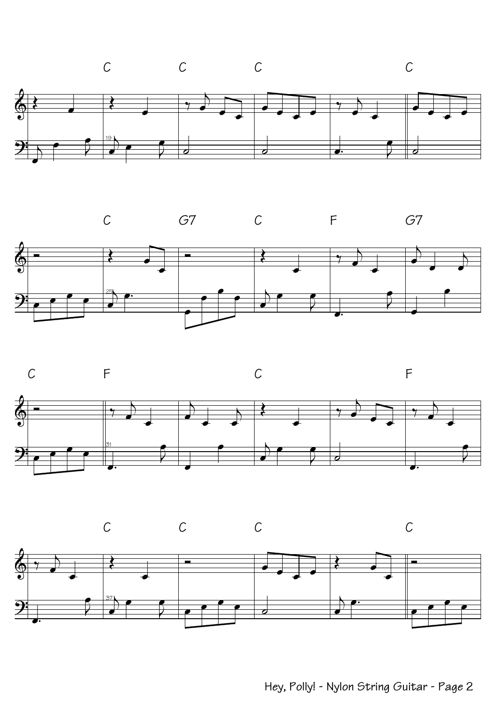







C C C C

Hey, Polly! - Nylon String Guitar - Page 2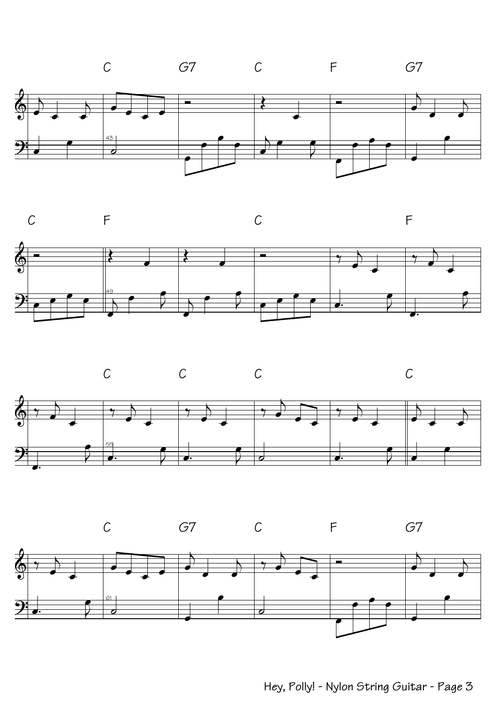







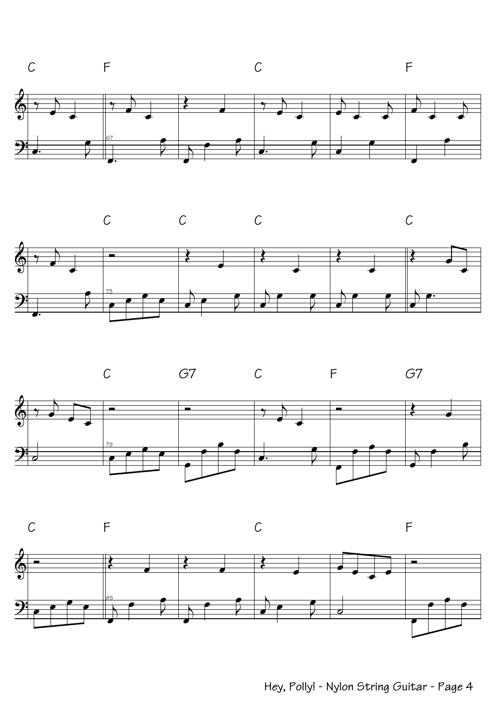









 $rac{1}{2}$ 



Hey, Polly! - Nylon String Guitar - Page 4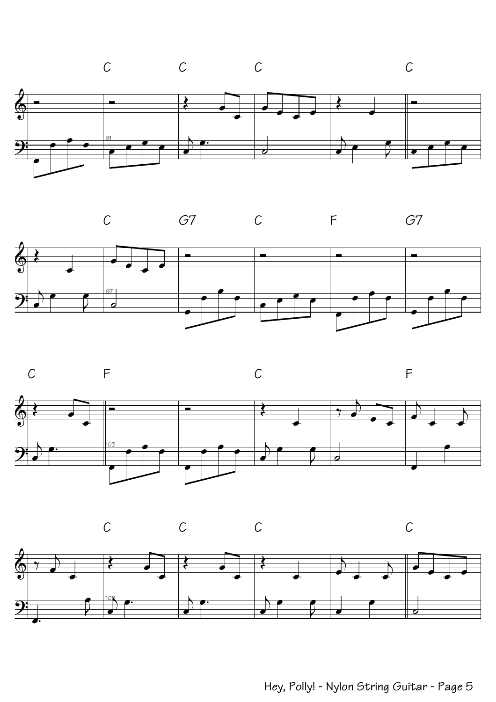







C C C C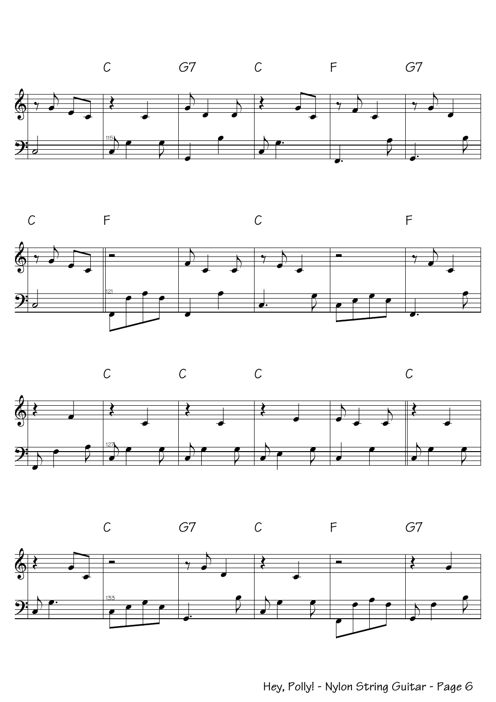

![](_page_24_Figure_1.jpeg)

![](_page_24_Figure_2.jpeg)

![](_page_24_Figure_3.jpeg)

![](_page_24_Figure_4.jpeg)

Hey, Polly! - Nylon String Guitar - Page 6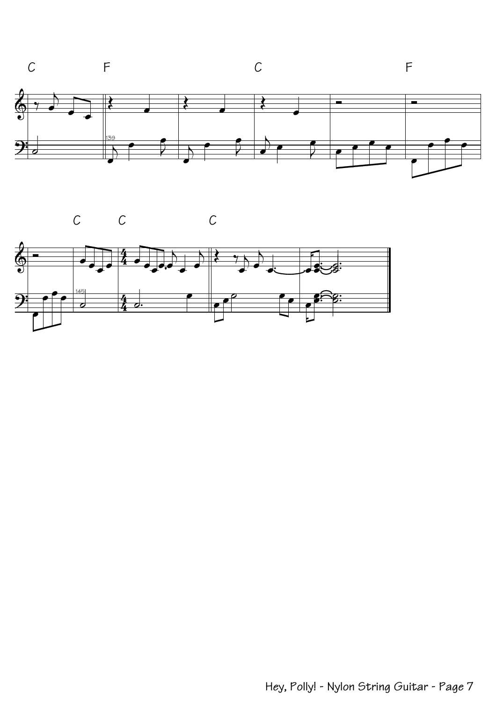![](_page_25_Figure_0.jpeg)

![](_page_25_Figure_1.jpeg)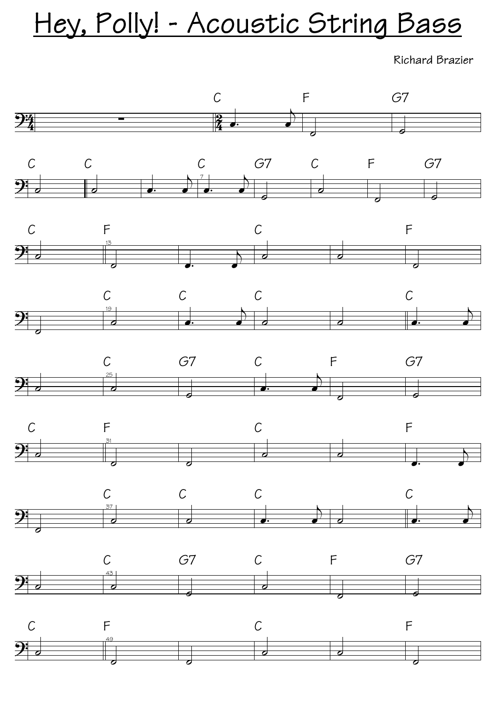# Hey, Polly! - Acoustic String Bass

![](_page_26_Figure_2.jpeg)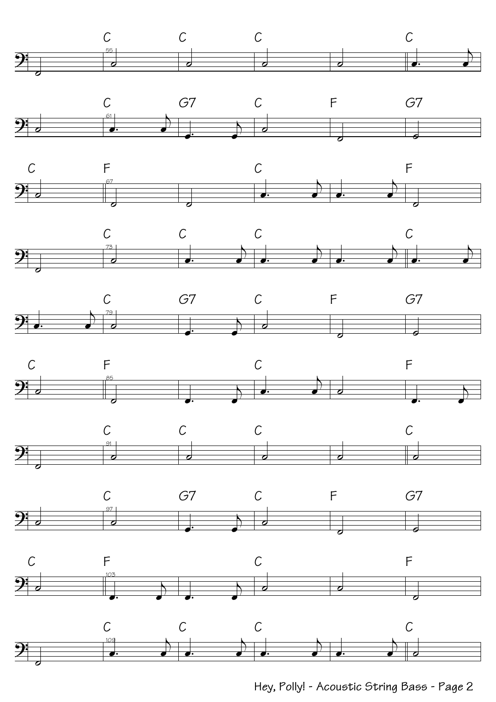![](_page_27_Figure_0.jpeg)

![](_page_27_Figure_1.jpeg)

![](_page_27_Figure_2.jpeg)

![](_page_27_Figure_3.jpeg)

![](_page_27_Figure_4.jpeg)

![](_page_27_Figure_5.jpeg)

![](_page_27_Figure_6.jpeg)

![](_page_27_Figure_7.jpeg)

![](_page_27_Figure_8.jpeg)

![](_page_27_Figure_9.jpeg)

Hey, Polly! - Acoustic String Bass - Page 2